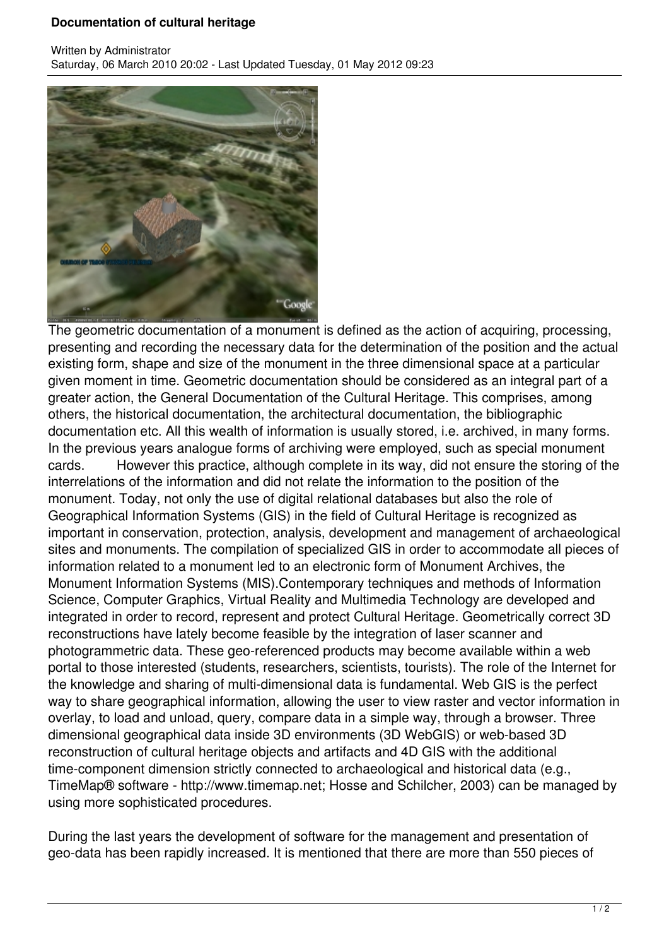## **Documentation of cultural heritage**



The geometric documentation of a monument is defined as the action of acquiring, processing, presenting and recording the necessary data for the determination of the position and the actual existing form, shape and size of the monument in the three dimensional space at a particular given moment in time. Geometric documentation should be considered as an integral part of a greater action, the General Documentation of the Cultural Heritage. This comprises, among others, the historical documentation, the architectural documentation, the bibliographic documentation etc. All this wealth of information is usually stored, i.e. archived, in many forms. In the previous years analogue forms of archiving were employed, such as special monument cards. However this practice, although complete in its way, did not ensure the storing of the interrelations of the information and did not relate the information to the position of the monument. Today, not only the use of digital relational databases but also the role of Geographical Information Systems (GIS) in the field of Cultural Heritage is recognized as important in conservation, protection, analysis, development and management of archaeological sites and monuments. The compilation of specialized GIS in order to accommodate all pieces of information related to a monument led to an electronic form of Monument Archives, the Monument Information Systems (MIS).Contemporary techniques and methods of Information Science, Computer Graphics, Virtual Reality and Multimedia Technology are developed and integrated in order to record, represent and protect Cultural Heritage. Geometrically correct 3D reconstructions have lately become feasible by the integration of laser scanner and photogrammetric data. These geo-referenced products may become available within a web portal to those interested (students, researchers, scientists, tourists). The role of the Internet for the knowledge and sharing of multi-dimensional data is fundamental. Web GIS is the perfect way to share geographical information, allowing the user to view raster and vector information in overlay, to load and unload, query, compare data in a simple way, through a browser. Three dimensional geographical data inside 3D environments (3D WebGIS) or web-based 3D reconstruction of cultural heritage objects and artifacts and 4D GIS with the additional time-component dimension strictly connected to archaeological and historical data (e.g., TimeMap® software - http://www.timemap.net; Hosse and Schilcher, 2003) can be managed by using more sophisticated procedures.

During the last years the development of software for the management and presentation of geo-data has been rapidly increased. It is mentioned that there are more than 550 pieces of